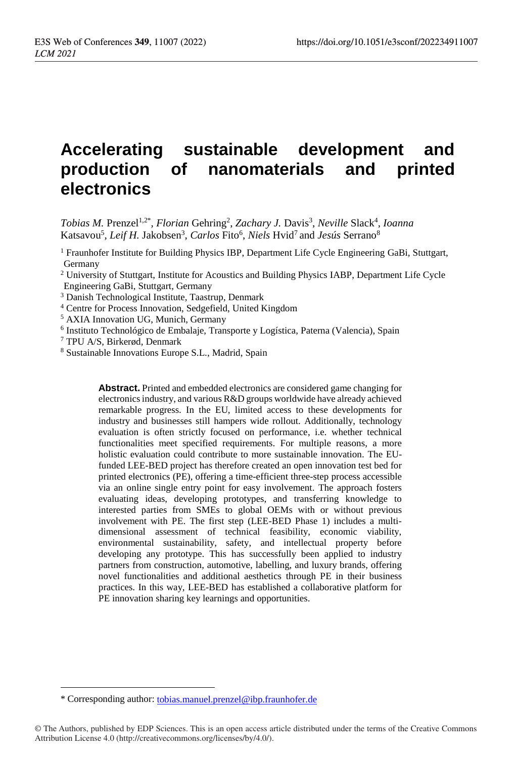# **Accelerating sustainable development and production of nanomaterials and printed electronics**

Tobias M. Prenzel<sup>1,2\*</sup>, *Florian* Gehring<sup>2</sup>, Zachary J. Davis<sup>3</sup>, Neville Slack<sup>4</sup>, Ioanna Katsavou<sup>5</sup> , *Leif H.* Jakobsen 3 , *Carlos* Fito<sup>6</sup> , *Niels* Hvid<sup>7</sup>and *Jesús* Serrano<sup>8</sup>

 $<sup>1</sup>$  Fraunhofer Institute for Building Physics IBP, Department Life Cycle Engineering GaBi, Stuttgart,</sup> Germany

<sup>2</sup> University of Stuttgart, Institute for Acoustics and Building Physics IABP, Department Life Cycle Engineering GaBi, Stuttgart, Germany

<sup>3</sup> Danish Technological Institute, Taastrup, Denmark

<sup>4</sup> Centre for Process Innovation, Sedgefield, United Kingdom

<sup>5</sup> AXIA Innovation UG, Munich, Germany

<sup>6</sup> Instituto Technológico de Embalaje, Transporte y Logística, Paterna (Valencia), Spain

<sup>7</sup> TPU A/S, Birkerød, Denmark

<sup>8</sup> Sustainable Innovations Europe S.L., Madrid, Spain

**Abstract.** Printed and embedded electronics are considered game changing for electronics industry, and various R&D groups worldwide have already achieved remarkable progress. In the EU, limited access to these developments for industry and businesses still hampers wide rollout. Additionally, technology evaluation is often strictly focused on performance, i.e. whether technical functionalities meet specified requirements. For multiple reasons, a more holistic evaluation could contribute to more sustainable innovation. The EUfunded LEE-BED project has therefore created an open innovation test bed for printed electronics (PE), offering a time-efficient three-step process accessible via an online single entry point for easy involvement. The approach fosters evaluating ideas, developing prototypes, and transferring knowledge to interested parties from SMEs to global OEMs with or without previous involvement with PE. The first step (LEE-BED Phase 1) includes a multidimensional assessment of technical feasibility, economic viability, environmental sustainability, safety, and intellectual property before developing any prototype. This has successfully been applied to industry partners from construction, automotive, labelling, and luxury brands, offering novel functionalities and additional aesthetics through PE in their business practices. In this way, LEE-BED has established a collaborative platform for PE innovation sharing key learnings and opportunities.

 $\overline{a}$ 

<sup>\*</sup> Corresponding author: [tobias.manuel.prenzel@ibp.fraunhofer.de](mailto:tobias.manuel.prenzel@ibp.fraunhofer.de)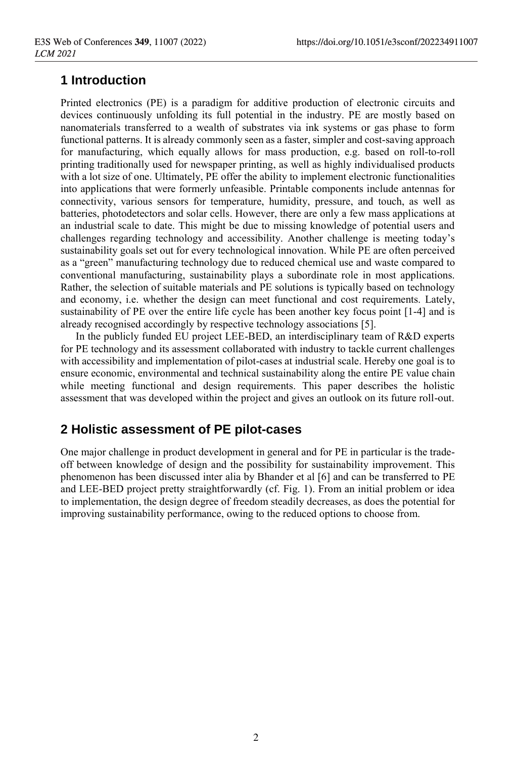# **1 Introduction**

Printed electronics (PE) is a paradigm for additive production of electronic circuits and devices continuously unfolding its full potential in the industry. PE are mostly based on nanomaterials transferred to a wealth of substrates via ink systems or gas phase to form functional patterns. It is already commonly seen as a faster, simpler and cost-saving approach for manufacturing, which equally allows for mass production, e.g. based on roll-to-roll printing traditionally used for newspaper printing, as well as highly individualised products with a lot size of one. Ultimately, PE offer the ability to implement electronic functionalities into applications that were formerly unfeasible. Printable components include antennas for connectivity, various sensors for temperature, humidity, pressure, and touch, as well as batteries, photodetectors and solar cells. However, there are only a few mass applications at an industrial scale to date. This might be due to missing knowledge of potential users and challenges regarding technology and accessibility. Another challenge is meeting today's sustainability goals set out for every technological innovation. While PE are often perceived as a "green" manufacturing technology due to reduced chemical use and waste compared to conventional manufacturing, sustainability plays a subordinate role in most applications. Rather, the selection of suitable materials and PE solutions is typically based on technology and economy, i.e. whether the design can meet functional and cost requirements. Lately, sustainability of PE over the entire life cycle has been another key focus point [1-4] and is already recognised accordingly by respective technology associations [5].

In the publicly funded EU project LEE-BED, an interdisciplinary team of R&D experts for PE technology and its assessment collaborated with industry to tackle current challenges with accessibility and implementation of pilot-cases at industrial scale. Hereby one goal is to ensure economic, environmental and technical sustainability along the entire PE value chain while meeting functional and design requirements. This paper describes the holistic assessment that was developed within the project and gives an outlook on its future roll-out.

## **2 Holistic assessment of PE pilot-cases**

One major challenge in product development in general and for PE in particular is the tradeoff between knowledge of design and the possibility for sustainability improvement. This phenomenon has been discussed inter alia by Bhander et al [6] and can be transferred to PE and LEE-BED project pretty straightforwardly (cf. Fig. 1). From an initial problem or idea to implementation, the design degree of freedom steadily decreases, as does the potential for improving sustainability performance, owing to the reduced options to choose from.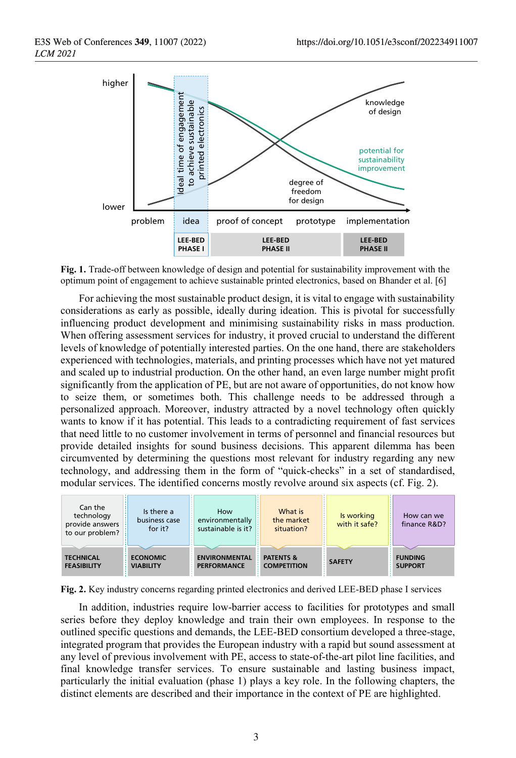

**Fig. 1.** Trade-off between knowledge of design and potential for sustainability improvement with the optimum point of engagement to achieve sustainable printed electronics, based on Bhander et al. [6]

For achieving the most sustainable product design, it is vital to engage with sustainability considerations as early as possible, ideally during ideation. This is pivotal for successfully influencing product development and minimising sustainability risks in mass production. When offering assessment services for industry, it proved crucial to understand the different levels of knowledge of potentially interested parties. On the one hand, there are stakeholders experienced with technologies, materials, and printing processes which have not yet matured and scaled up to industrial production. On the other hand, an even large number might profit significantly from the application of PE, but are not aware of opportunities, do not know how to seize them, or sometimes both. This challenge needs to be addressed through a personalized approach. Moreover, industry attracted by a novel technology often quickly wants to know if it has potential. This leads to a contradicting requirement of fast services that need little to no customer involvement in terms of personnel and financial resources but provide detailed insights for sound business decisions. This apparent dilemma has been circumvented by determining the questions most relevant for industry regarding any new technology, and addressing them in the form of "quick-checks" in a set of standardised, modular services. The identified concerns mostly revolve around six aspects (cf. Fig. 2).



**Fig. 2.** Key industry concerns regarding printed electronics and derived LEE-BED phase I services

In addition, industries require low-barrier access to facilities for prototypes and small series before they deploy knowledge and train their own employees. In response to the outlined specific questions and demands, the LEE-BED consortium developed a three-stage, integrated program that provides the European industry with a rapid but sound assessment at any level of previous involvement with PE, access to state-of-the-art pilot line facilities, and final knowledge transfer services. To ensure sustainable and lasting business impact, particularly the initial evaluation (phase 1) plays a key role. In the following chapters, the distinct elements are described and their importance in the context of PE are highlighted.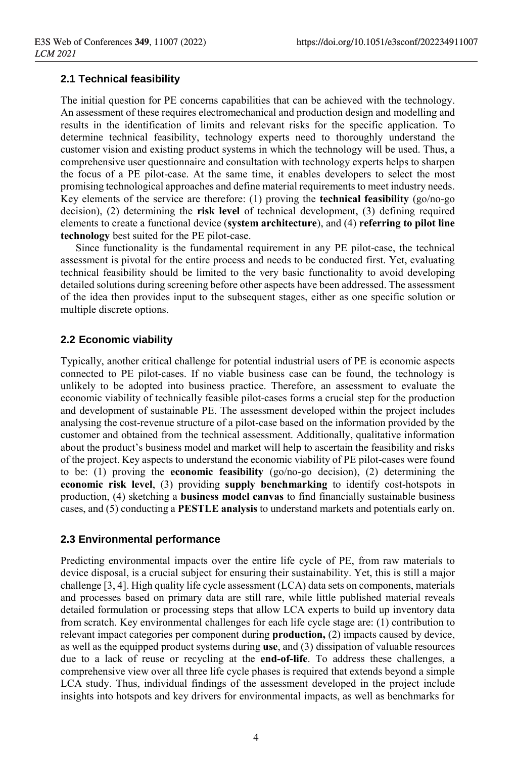#### **2.1 Technical feasibility**

The initial question for PE concerns capabilities that can be achieved with the technology. An assessment of these requires electromechanical and production design and modelling and results in the identification of limits and relevant risks for the specific application. To determine technical feasibility, technology experts need to thoroughly understand the customer vision and existing product systems in which the technology will be used. Thus, a comprehensive user questionnaire and consultation with technology experts helps to sharpen the focus of a PE pilot-case. At the same time, it enables developers to select the most promising technological approaches and define material requirements to meet industry needs. Key elements of the service are therefore: (1) proving the **technical feasibility** (go/no-go decision), (2) determining the **risk level** of technical development, (3) defining required elements to create a functional device (**system architecture**), and (4) **referring to pilot line technology** best suited for the PE pilot-case.

Since functionality is the fundamental requirement in any PE pilot-case, the technical assessment is pivotal for the entire process and needs to be conducted first. Yet, evaluating technical feasibility should be limited to the very basic functionality to avoid developing detailed solutions during screening before other aspects have been addressed. The assessment of the idea then provides input to the subsequent stages, either as one specific solution or multiple discrete options.

#### **2.2 Economic viability**

Typically, another critical challenge for potential industrial users of PE is economic aspects connected to PE pilot-cases. If no viable business case can be found, the technology is unlikely to be adopted into business practice. Therefore, an assessment to evaluate the economic viability of technically feasible pilot-cases forms a crucial step for the production and development of sustainable PE. The assessment developed within the project includes analysing the cost-revenue structure of a pilot-case based on the information provided by the customer and obtained from the technical assessment. Additionally, qualitative information about the product's business model and market will help to ascertain the feasibility and risks of the project. Key aspects to understand the economic viability of PE pilot-cases were found to be: (1) proving the **economic feasibility** (go/no-go decision), (2) determining the **economic risk level**, (3) providing **supply benchmarking** to identify cost-hotspots in production, (4) sketching a **business model canvas** to find financially sustainable business cases, and (5) conducting a **PESTLE analysis** to understand markets and potentials early on.

#### **2.3 Environmental performance**

Predicting environmental impacts over the entire life cycle of PE, from raw materials to device disposal, is a crucial subject for ensuring their sustainability. Yet, this is still a major challenge [3, 4]. High quality life cycle assessment (LCA) data sets on components, materials and processes based on primary data are still rare, while little published material reveals detailed formulation or processing steps that allow LCA experts to build up inventory data from scratch. Key environmental challenges for each life cycle stage are: (1) contribution to relevant impact categories per component during **production,** (2) impacts caused by device, as well as the equipped product systems during **use**, and (3) dissipation of valuable resources due to a lack of reuse or recycling at the **end-of-life**. To address these challenges, a comprehensive view over all three life cycle phases is required that extends beyond a simple LCA study. Thus, individual findings of the assessment developed in the project include insights into hotspots and key drivers for environmental impacts, as well as benchmarks for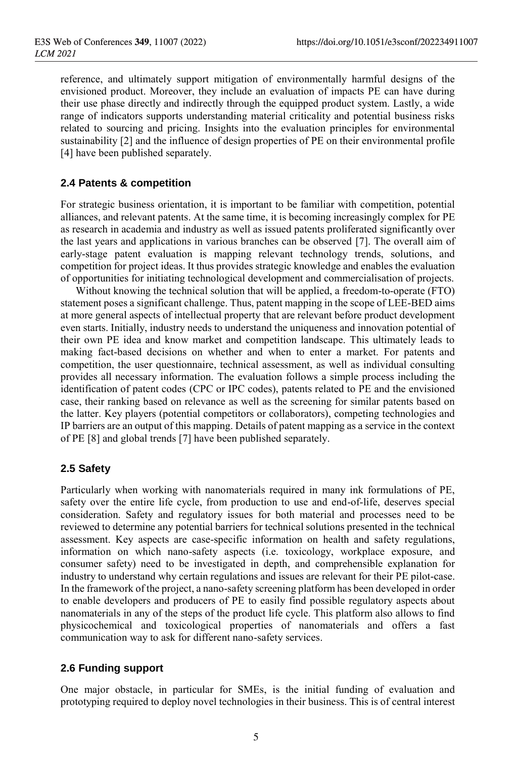reference, and ultimately support mitigation of environmentally harmful designs of the envisioned product. Moreover, they include an evaluation of impacts PE can have during their use phase directly and indirectly through the equipped product system. Lastly, a wide range of indicators supports understanding material criticality and potential business risks related to sourcing and pricing. Insights into the evaluation principles for environmental sustainability [2] and the influence of design properties of PE on their environmental profile [4] have been published separately.

#### **2.4 Patents & competition**

For strategic business orientation, it is important to be familiar with competition, potential alliances, and relevant patents. At the same time, it is becoming increasingly complex for PE as research in academia and industry as well as issued patents proliferated significantly over the last years and applications in various branches can be observed [7]. The overall aim of early-stage patent evaluation is mapping relevant technology trends, solutions, and competition for project ideas. It thus provides strategic knowledge and enables the evaluation of opportunities for initiating technological development and commercialisation of projects.

Without knowing the technical solution that will be applied, a freedom-to-operate (FTO) statement poses a significant challenge. Thus, patent mapping in the scope of LEE-BED aims at more general aspects of intellectual property that are relevant before product development even starts. Initially, industry needs to understand the uniqueness and innovation potential of their own PE idea and know market and competition landscape. This ultimately leads to making fact-based decisions on whether and when to enter a market. For patents and competition, the user questionnaire, technical assessment, as well as individual consulting provides all necessary information. The evaluation follows a simple process including the identification of patent codes (CPC or IPC codes), patents related to PE and the envisioned case, their ranking based on relevance as well as the screening for similar patents based on the latter. Key players (potential competitors or collaborators), competing technologies and IP barriers are an output of this mapping. Details of patent mapping as a service in the context of PE [8] and global trends [7] have been published separately.

#### **2.5 Safety**

Particularly when working with nanomaterials required in many ink formulations of PE, safety over the entire life cycle, from production to use and end-of-life, deserves special consideration. Safety and regulatory issues for both material and processes need to be reviewed to determine any potential barriers for technical solutions presented in the technical assessment. Key aspects are case-specific information on health and safety regulations, information on which nano-safety aspects (i.e. toxicology, workplace exposure, and consumer safety) need to be investigated in depth, and comprehensible explanation for industry to understand why certain regulations and issues are relevant for their PE pilot-case. In the framework of the project, a nano-safety screening platform has been developed in order to enable developers and producers of PE to easily find possible regulatory aspects about nanomaterials in any of the steps of the product life cycle. This platform also allows to find physicochemical and toxicological properties of nanomaterials and offers a fast communication way to ask for different nano-safety services.

#### **2.6 Funding support**

One major obstacle, in particular for SMEs, is the initial funding of evaluation and prototyping required to deploy novel technologies in their business. This is of central interest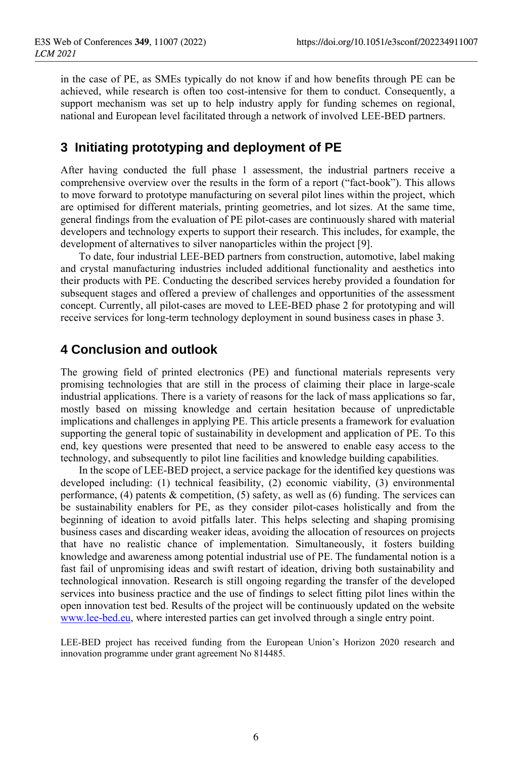in the case of PE, as SMEs typically do not know if and how benefits through PE can be achieved, while research is often too cost-intensive for them to conduct. Consequently, a support mechanism was set up to help industry apply for funding schemes on regional, national and European level facilitated through a network of involved LEE-BED partners.

# **3 Initiating prototyping and deployment of PE**

After having conducted the full phase 1 assessment, the industrial partners receive a comprehensive overview over the results in the form of a report ("fact-book"). This allows to move forward to prototype manufacturing on several pilot lines within the project, which are optimised for different materials, printing geometries, and lot sizes. At the same time, general findings from the evaluation of PE pilot-cases are continuously shared with material developers and technology experts to support their research. This includes, for example, the development of alternatives to silver nanoparticles within the project [9].

To date, four industrial LEE-BED partners from construction, automotive, label making and crystal manufacturing industries included additional functionality and aesthetics into their products with PE. Conducting the described services hereby provided a foundation for subsequent stages and offered a preview of challenges and opportunities of the assessment concept. Currently, all pilot-cases are moved to LEE-BED phase 2 for prototyping and will receive services for long-term technology deployment in sound business cases in phase 3.

### **4 Conclusion and outlook**

The growing field of printed electronics (PE) and functional materials represents very promising technologies that are still in the process of claiming their place in large-scale industrial applications. There is a variety of reasons for the lack of mass applications so far, mostly based on missing knowledge and certain hesitation because of unpredictable implications and challenges in applying PE. This article presents a framework for evaluation supporting the general topic of sustainability in development and application of PE. To this end, key questions were presented that need to be answered to enable easy access to the technology, and subsequently to pilot line facilities and knowledge building capabilities.

In the scope of LEE-BED project, a service package for the identified key questions was developed including: (1) technical feasibility, (2) economic viability, (3) environmental performance, (4) patents & competition, (5) safety, as well as (6) funding. The services can be sustainability enablers for PE, as they consider pilot-cases holistically and from the beginning of ideation to avoid pitfalls later. This helps selecting and shaping promising business cases and discarding weaker ideas, avoiding the allocation of resources on projects that have no realistic chance of implementation. Simultaneously, it fosters building knowledge and awareness among potential industrial use of PE. The fundamental notion is a fast fail of unpromising ideas and swift restart of ideation, driving both sustainability and technological innovation. Research is still ongoing regarding the transfer of the developed services into business practice and the use of findings to select fitting pilot lines within the open innovation test bed. Results of the project will be continuously updated on the website [www.lee-bed.eu,](http://www.lee-bed.eu/) where interested parties can get involved through a single entry point.

LEE-BED project has received funding from the European Union's Horizon 2020 research and innovation programme under grant agreement No 814485.